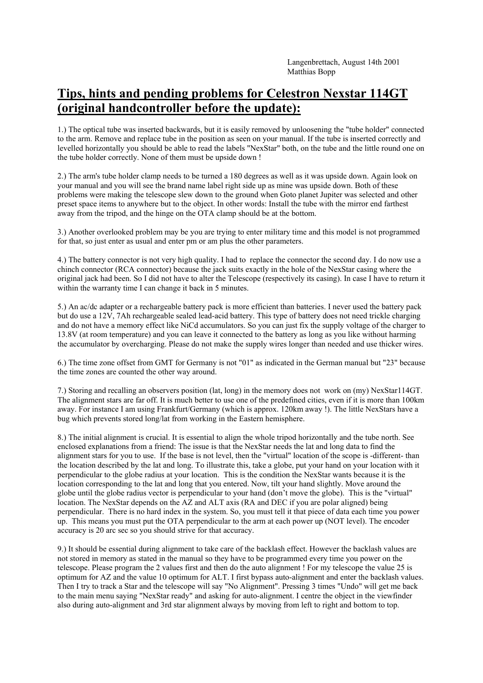## **Tips, hints and pending problems for Celestron Nexstar 114GT (original handcontroller before the update):**

1.) The optical tube was inserted backwards, but it is easily removed by unloosening the "tube holder" connected to the arm. Remove and replace tube in the position as seen on your manual. If the tube is inserted correctly and levelled horizontally you should be able to read the labels "NexStar" both, on the tube and the little round one on the tube holder correctly. None of them must be upside down !

2.) The arm's tube holder clamp needs to be turned a 180 degrees as well as it was upside down. Again look on your manual and you will see the brand name label right side up as mine was upside down. Both of these problems were making the telescope slew down to the ground when Goto planet Jupiter was selected and other preset space items to anywhere but to the object. In other words: Install the tube with the mirror end farthest away from the tripod, and the hinge on the OTA clamp should be at the bottom.

3.) Another overlooked problem may be you are trying to enter military time and this model is not programmed for that, so just enter as usual and enter pm or am plus the other parameters.

4.) The battery connector is not very high quality. I had to replace the connector the second day. I do now use a chinch connector (RCA connector) because the jack suits exactly in the hole of the NexStar casing where the original jack had been. So I did not have to alter the Telescope (respectively its casing). In case I have to return it within the warranty time I can change it back in 5 minutes.

5.) An ac/dc adapter or a rechargeable battery pack is more efficient than batteries. I never used the battery pack but do use a 12V, 7Ah rechargeable sealed lead-acid battery. This type of battery does not need trickle charging and do not have a memory effect like NiCd accumulators. So you can just fix the supply voltage of the charger to 13.8V (at room temperature) and you can leave it connected to the battery as long as you like without harming the accumulator by overcharging. Please do not make the supply wires longer than needed and use thicker wires.

6.) The time zone offset from GMT for Germany is not "01" as indicated in the German manual but "23" because the time zones are counted the other way around.

7.) Storing and recalling an observers position (lat, long) in the memory does not work on (my) NexStar114GT. The alignment stars are far off. It is much better to use one of the predefined cities, even if it is more than 100km away. For instance I am using Frankfurt/Germany (which is approx. 120km away !). The little NexStars have a bug which prevents stored long/lat from working in the Eastern hemisphere.

8.) The initial alignment is crucial. It is essential to align the whole tripod horizontally and the tube north. See enclosed explanations from a friend: The issue is that the NexStar needs the lat and long data to find the alignment stars for you to use. If the base is not level, then the "virtual" location of the scope is -different- than the location described by the lat and long. To illustrate this, take a globe, put your hand on your location with it perpendicular to the globe radius at your location. This is the condition the NexStar wants because it is the location corresponding to the lat and long that you entered. Now, tilt your hand slightly. Move around the globe until the globe radius vector is perpendicular to your hand (don't move the globe). This is the "virtual" location. The NexStar depends on the AZ and ALT axis (RA and DEC if you are polar aligned) being perpendicular. There is no hard index in the system. So, you must tell it that piece of data each time you power up. This means you must put the OTA perpendicular to the arm at each power up (NOT level). The encoder accuracy is 20 arc sec so you should strive for that accuracy.

9.) It should be essential during alignment to take care of the backlash effect. However the backlash values are not stored in memory as stated in the manual so they have to be programmed every time you power on the telescope. Please program the 2 values first and then do the auto alignment ! For my telescope the value 25 is optimum for AZ and the value 10 optimum for ALT. I first bypass auto-alignment and enter the backlash values. Then I try to track a Star and the telescope will say "No Alignment". Pressing 3 times "Undo" will get me back to the main menu saying "NexStar ready" and asking for auto-alignment. I centre the object in the viewfinder also during auto-alignment and 3rd star alignment always by moving from left to right and bottom to top.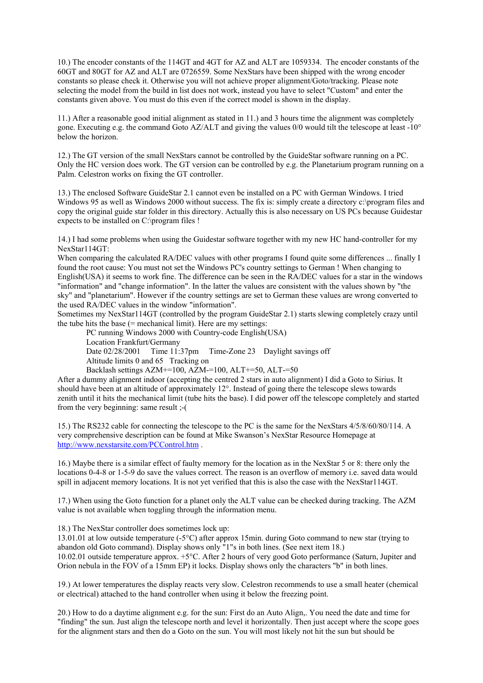10.) The encoder constants of the 114GT and 4GT for AZ and ALT are 1059334. The encoder constants of the 60GT and 80GT for AZ and ALT are 0726559. Some NexStars have been shipped with the wrong encoder constants so please check it. Otherwise you will not achieve proper alignment/Goto/tracking. Please note selecting the model from the build in list does not work, instead you have to select "Custom" and enter the constants given above. You must do this even if the correct model is shown in the display.

11.) After a reasonable good initial alignment as stated in 11.) and 3 hours time the alignment was completely gone. Executing e.g. the command Goto AZ/ALT and giving the values 0/0 would tilt the telescope at least -10° below the horizon.

12.) The GT version of the small NexStars cannot be controlled by the GuideStar software running on a PC. Only the HC version does work. The GT version can be controlled by e.g. the Planetarium program running on a Palm. Celestron works on fixing the GT controller.

13.) The enclosed Software GuideStar 2.1 cannot even be installed on a PC with German Windows. I tried Windows 95 as well as Windows 2000 without success. The fix is: simply create a directory c:\program files and copy the original guide star folder in this directory. Actually this is also necessary on US PCs because Guidestar expects to be installed on C:\program files !

14.) I had some problems when using the Guidestar software together with my new HC hand-controller for my NexStar114GT:

When comparing the calculated RA/DEC values with other programs I found quite some differences ... finally I found the root cause: You must not set the Windows PC's country settings to German ! When changing to English(USA) it seems to work fine. The difference can be seen in the RA/DEC values for a star in the windows "information" and "change information". In the latter the values are consistent with the values shown by "the sky" and "planetarium". However if the country settings are set to German these values are wrong converted to the used RA/DEC values in the window "information".

Sometimes my NexStar114GT (controlled by the program GuideStar 2.1) starts slewing completely crazy until the tube hits the base (= mechanical limit). Here are my settings:

PC running Windows 2000 with Country-code English(USA) Location Frankfurt/Germany Date 02/28/2001 Time 11:37pm Time-Zone 23 Daylight savings off Altitude limits 0 and 65 Tracking on Backlash settings AZM+=100, AZM-=100, ALT+=50, ALT-=50

After a dummy alignment indoor (accepting the centred 2 stars in auto alignment) I did a Goto to Sirius. It should have been at an altitude of approximately 12°. Instead of going there the telescope slews towards zenith until it hits the mechanical limit (tube hits the base). I did power off the telescope completely and started from the very beginning: same result ;-(

15.) The RS232 cable for connecting the telescope to the PC is the same for the NexStars 4/5/8/60/80/114. A very comprehensive description can be found at Mike Swanson's NexStar Resource Homepage at http://www.nexstarsite.com/PCControl.htm .

16.) Maybe there is a similar effect of faulty memory for the location as in the NexStar 5 or 8: there only the locations 0-4-8 or 1-5-9 do save the values correct. The reason is an overflow of memory i.e. saved data would spill in adjacent memory locations. It is not yet verified that this is also the case with the NexStar114GT.

17.) When using the Goto function for a planet only the ALT value can be checked during tracking. The AZM value is not available when toggling through the information menu.

18.) The NexStar controller does sometimes lock up:

13.01.01 at low outside temperature (-5°C) after approx 15min. during Goto command to new star (trying to abandon old Goto command). Display shows only "1"s in both lines. (See next item 18.) 10.02.01 outside temperature approx. +5°C. After 2 hours of very good Goto performance (Saturn, Jupiter and Orion nebula in the FOV of a 15mm EP) it locks. Display shows only the characters "b" in both lines.

19.) At lower temperatures the display reacts very slow. Celestron recommends to use a small heater (chemical or electrical) attached to the hand controller when using it below the freezing point.

20.) How to do a daytime alignment e.g. for the sun: First do an Auto Align,. You need the date and time for "finding" the sun. Just align the telescope north and level it horizontally. Then just accept where the scope goes for the alignment stars and then do a Goto on the sun. You will most likely not hit the sun but should be